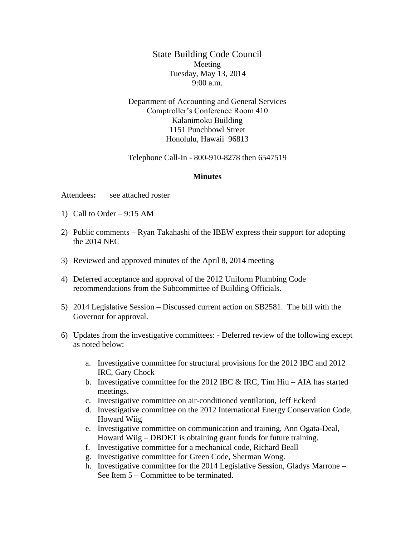State Building Code Council Meeting Tuesday, May 13, 2014 9:00 a.m.

Department of Accounting and General Services Comptroller's Conference Room 410 Kalanimoku Building 1151 Punchbowl Street Honolulu, Hawaii 96813

Telephone Call-In - 800-910-8278 then 6547519

## **Minutes**

Attendees**:** see attached roster

- 1) Call to Order 9:15 AM
- 2) Public comments Ryan Takahashi of the IBEW express their support for adopting the 2014 NEC
- 3) Reviewed and approved minutes of the April 8, 2014 meeting
- 4) Deferred acceptance and approval of the 2012 Uniform Plumbing Code recommendations from the Subcommittee of Building Officials.
- 5) 2014 Legislative Session Discussed current action on SB2581. The bill with the Governor for approval.
- 6) Updates from the investigative committees: Deferred review of the following except as noted below:
	- a. Investigative committee for structural provisions for the 2012 IBC and 2012 IRC, Gary Chock
	- b. Investigative committee for the 2012 IBC  $&$  IRC, Tim Hiu AIA has started meetings.
	- c. Investigative committee on air-conditioned ventilation, Jeff Eckerd
	- d. Investigative committee on the 2012 International Energy Conservation Code, Howard Wiig
	- e. Investigative committee on communication and training, Ann Ogata-Deal, Howard Wiig – DBDET is obtaining grant funds for future training.
	- f. Investigative committee for a mechanical code, Richard Beall
	- g. Investigative committee for Green Code, Sherman Wong.
	- h. Investigative committee for the 2014 Legislative Session, Gladys Marrone See Item 5 – Committee to be terminated.